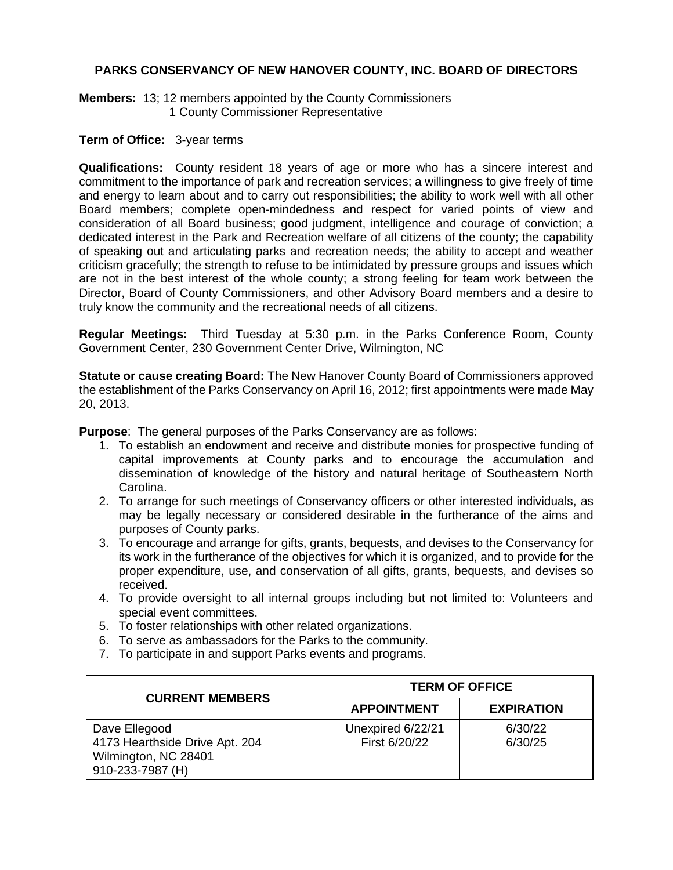### **PARKS CONSERVANCY OF NEW HANOVER COUNTY, INC. BOARD OF DIRECTORS**

#### **Members:** 13; 12 members appointed by the County Commissioners

1 County Commissioner Representative

#### **Term of Office:** 3-year terms

**Qualifications:** County resident 18 years of age or more who has a sincere interest and commitment to the importance of park and recreation services; a willingness to give freely of time and energy to learn about and to carry out responsibilities; the ability to work well with all other Board members; complete open-mindedness and respect for varied points of view and consideration of all Board business; good judgment, intelligence and courage of conviction; a dedicated interest in the Park and Recreation welfare of all citizens of the county; the capability of speaking out and articulating parks and recreation needs; the ability to accept and weather criticism gracefully; the strength to refuse to be intimidated by pressure groups and issues which are not in the best interest of the whole county; a strong feeling for team work between the Director, Board of County Commissioners, and other Advisory Board members and a desire to truly know the community and the recreational needs of all citizens.

**Regular Meetings:** Third Tuesday at 5:30 p.m. in the Parks Conference Room, County Government Center, 230 Government Center Drive, Wilmington, NC

**Statute or cause creating Board:** The New Hanover County Board of Commissioners approved the establishment of the Parks Conservancy on April 16, 2012; first appointments were made May 20, 2013.

**Purpose**: The general purposes of the Parks Conservancy are as follows:

- 1. To establish an endowment and receive and distribute monies for prospective funding of capital improvements at County parks and to encourage the accumulation and dissemination of knowledge of the history and natural heritage of Southeastern North Carolina.
- 2. To arrange for such meetings of Conservancy officers or other interested individuals, as may be legally necessary or considered desirable in the furtherance of the aims and purposes of County parks.
- 3. To encourage and arrange for gifts, grants, bequests, and devises to the Conservancy for its work in the furtherance of the objectives for which it is organized, and to provide for the proper expenditure, use, and conservation of all gifts, grants, bequests, and devises so received.
- 4. To provide oversight to all internal groups including but not limited to: Volunteers and special event committees.
- 5. To foster relationships with other related organizations.
- 6. To serve as ambassadors for the Parks to the community.
- 7. To participate in and support Parks events and programs.

| <b>CURRENT MEMBERS</b>                                                                      | <b>TERM OF OFFICE</b>              |                    |
|---------------------------------------------------------------------------------------------|------------------------------------|--------------------|
|                                                                                             | <b>APPOINTMENT</b>                 | <b>EXPIRATION</b>  |
| Dave Ellegood<br>4173 Hearthside Drive Apt. 204<br>Wilmington, NC 28401<br>910-233-7987 (H) | Unexpired 6/22/21<br>First 6/20/22 | 6/30/22<br>6/30/25 |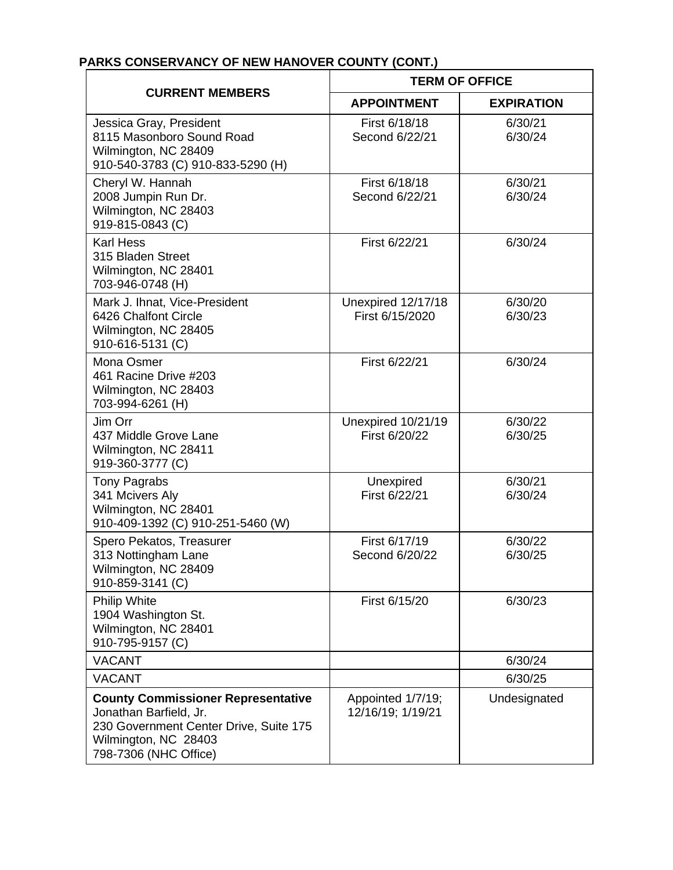# **PARKS CONSERVANCY OF NEW HANOVER COUNTY (CONT.)**

| <b>CURRENT MEMBERS</b>                                                                                                                                         | <b>TERM OF OFFICE</b>                  |                    |
|----------------------------------------------------------------------------------------------------------------------------------------------------------------|----------------------------------------|--------------------|
|                                                                                                                                                                | <b>APPOINTMENT</b>                     | <b>EXPIRATION</b>  |
| Jessica Gray, President<br>8115 Masonboro Sound Road<br>Wilmington, NC 28409<br>910-540-3783 (C) 910-833-5290 (H)                                              | First 6/18/18<br>Second 6/22/21        | 6/30/21<br>6/30/24 |
| Cheryl W. Hannah<br>2008 Jumpin Run Dr.<br>Wilmington, NC 28403<br>919-815-0843 (C)                                                                            | First 6/18/18<br>Second 6/22/21        | 6/30/21<br>6/30/24 |
| <b>Karl Hess</b><br>315 Bladen Street<br>Wilmington, NC 28401<br>703-946-0748 (H)                                                                              | First 6/22/21                          | 6/30/24            |
| Mark J. Ihnat, Vice-President<br>6426 Chalfont Circle<br>Wilmington, NC 28405<br>910-616-5131 (C)                                                              | Unexpired 12/17/18<br>First 6/15/2020  | 6/30/20<br>6/30/23 |
| Mona Osmer<br>461 Racine Drive #203<br>Wilmington, NC 28403<br>703-994-6261 (H)                                                                                | First 6/22/21                          | 6/30/24            |
| Jim Orr<br>437 Middle Grove Lane<br>Wilmington, NC 28411<br>919-360-3777 (C)                                                                                   | Unexpired 10/21/19<br>First 6/20/22    | 6/30/22<br>6/30/25 |
| <b>Tony Pagrabs</b><br>341 Mcivers Aly<br>Wilmington, NC 28401<br>910-409-1392 (C) 910-251-5460 (W)                                                            | Unexpired<br>First 6/22/21             | 6/30/21<br>6/30/24 |
| Spero Pekatos, Treasurer<br>313 Nottingham Lane<br>Wilmington, NC 28409<br>910-859-3141 (C)                                                                    | First 6/17/19<br>Second 6/20/22        | 6/30/22<br>6/30/25 |
| <b>Philip White</b><br>1904 Washington St.<br>Wilmington, NC 28401<br>910-795-9157 (C)                                                                         | First 6/15/20                          | 6/30/23            |
| <b>VACANT</b>                                                                                                                                                  |                                        | 6/30/24            |
| <b>VACANT</b>                                                                                                                                                  |                                        | 6/30/25            |
| <b>County Commissioner Representative</b><br>Jonathan Barfield, Jr.<br>230 Government Center Drive, Suite 175<br>Wilmington, NC 28403<br>798-7306 (NHC Office) | Appointed 1/7/19;<br>12/16/19; 1/19/21 | Undesignated       |